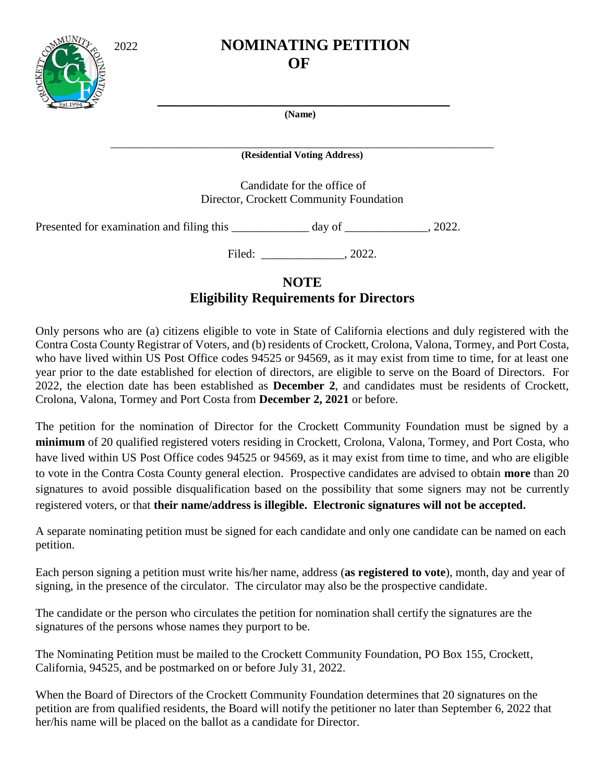

## 2022 **NOMINATING PETITION** *OF*

 **(Name)**

 **\_\_\_\_\_\_\_\_\_\_\_\_\_\_\_\_\_\_\_\_\_\_\_\_\_\_\_\_\_\_\_\_\_\_\_\_\_**

**\_\_\_\_\_\_\_\_\_\_\_\_\_\_\_\_\_\_\_\_\_\_\_\_\_\_\_\_\_\_\_\_\_\_\_\_\_\_\_\_\_\_\_\_\_\_\_\_\_\_\_\_\_\_\_\_\_\_\_\_\_\_\_\_\_\_\_\_\_\_\_\_\_\_\_\_\_\_\_\_\_\_\_\_\_\_\_\_\_\_\_\_\_\_\_\_\_ (Residential Voting Address)**

> Candidate for the office of Director, Crockett Community Foundation

Presented for examination and filing this \_\_\_\_\_\_\_\_\_\_\_\_\_ day of \_\_\_\_\_\_\_\_\_\_\_, 2022.

Filed: \_\_\_\_\_\_\_\_\_\_\_\_\_\_\_\_, 2022.

## **NOTE Eligibility Requirements for Directors**

Only persons who are (a) citizens eligible to vote in State of California elections and duly registered with the Contra Costa County Registrar of Voters, and (b) residents of Crockett, Crolona, Valona, Tormey, and Port Costa, who have lived within US Post Office codes 94525 or 94569, as it may exist from time to time, for at least one year prior to the date established for election of directors, are eligible to serve on the Board of Directors. For 2022, the election date has been established as **December 2**, and candidates must be residents of Crockett, Crolona, Valona, Tormey and Port Costa from **December 2, 2021** or before.

The petition for the nomination of Director for the Crockett Community Foundation must be signed by a **minimum** of 20 qualified registered voters residing in Crockett, Crolona, Valona, Tormey, and Port Costa, who have lived within US Post Office codes 94525 or 94569, as it may exist from time to time, and who are eligible to vote in the Contra Costa County general election. Prospective candidates are advised to obtain **more** than 20 signatures to avoid possible disqualification based on the possibility that some signers may not be currently registered voters, or that **their name/address is illegible. Electronic signatures will not be accepted.**

A separate nominating petition must be signed for each candidate and only one candidate can be named on each petition.

Each person signing a petition must write his/her name, address (**as registered to vote**), month, day and year of signing, in the presence of the circulator. The circulator may also be the prospective candidate.

The candidate or the person who circulates the petition for nomination shall certify the signatures are the signatures of the persons whose names they purport to be.

The Nominating Petition must be mailed to the Crockett Community Foundation, PO Box 155, Crockett, California, 94525, and be postmarked on or before July 31, 2022.

When the Board of Directors of the Crockett Community Foundation determines that 20 signatures on the petition are from qualified residents, the Board will notify the petitioner no later than September 6, 2022 that her/his name will be placed on the ballot as a candidate for Director.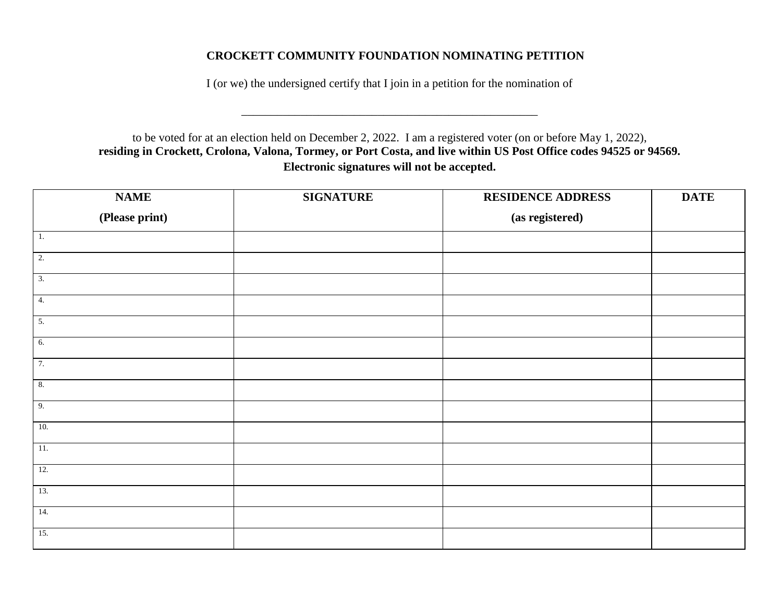## **CROCKETT COMMUNITY FOUNDATION NOMINATING PETITION**

I (or we) the undersigned certify that I join in a petition for the nomination of

\_\_\_\_\_\_\_\_\_\_\_\_\_\_\_\_\_\_\_\_\_\_\_\_\_\_\_\_\_\_\_\_\_\_\_\_\_\_\_\_\_\_\_\_\_\_\_\_\_\_

to be voted for at an election held on December 2, 2022. I am a registered voter (on or before May 1, 2022), **residing in Crockett, Crolona, Valona, Tormey, or Port Costa, and live within US Post Office codes 94525 or 94569. Electronic signatures will not be accepted.**

| <b>NAME</b>       | <b>SIGNATURE</b> | <b>RESIDENCE ADDRESS</b> | <b>DATE</b> |
|-------------------|------------------|--------------------------|-------------|
| (Please print)    |                  | (as registered)          |             |
| $\overline{1}$ .  |                  |                          |             |
| 2.                |                  |                          |             |
| $\overline{3}$ .  |                  |                          |             |
| 4.                |                  |                          |             |
| 5.                |                  |                          |             |
| 6.                |                  |                          |             |
| 7.                |                  |                          |             |
| 8.                |                  |                          |             |
| 9.                |                  |                          |             |
| 10.               |                  |                          |             |
| $\overline{11}$ . |                  |                          |             |
| 12.               |                  |                          |             |
| 13.               |                  |                          |             |
| 14.               |                  |                          |             |
| 15.               |                  |                          |             |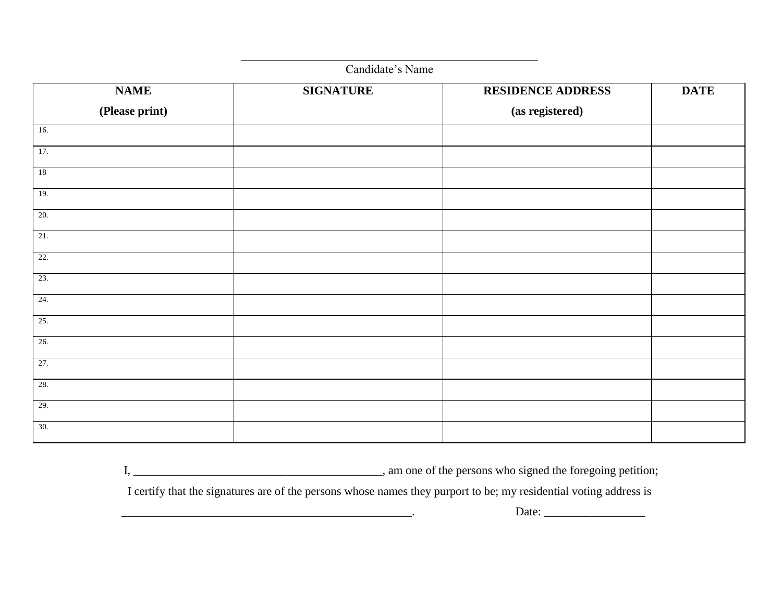| Candidate's Name  |                  |                          |             |  |
|-------------------|------------------|--------------------------|-------------|--|
| <b>NAME</b>       | <b>SIGNATURE</b> | <b>RESIDENCE ADDRESS</b> | <b>DATE</b> |  |
| (Please print)    |                  | (as registered)          |             |  |
| 16.               |                  |                          |             |  |
| 17.               |                  |                          |             |  |
| 18                |                  |                          |             |  |
| 19.               |                  |                          |             |  |
| 20.               |                  |                          |             |  |
| $\overline{21}$ . |                  |                          |             |  |
| 22.               |                  |                          |             |  |
| 23.               |                  |                          |             |  |
| 24.               |                  |                          |             |  |
| 25.               |                  |                          |             |  |
| 26.               |                  |                          |             |  |
| 27.               |                  |                          |             |  |
| 28.               |                  |                          |             |  |
| 29.               |                  |                          |             |  |
| 30.               |                  |                          |             |  |

\_\_\_\_\_\_\_\_\_\_\_\_\_\_\_\_\_\_\_\_\_\_\_\_\_\_\_\_\_\_\_\_\_\_\_\_\_\_\_\_\_\_\_\_\_\_\_\_\_\_

I, \_\_\_\_\_\_\_\_\_\_\_\_\_\_\_\_\_\_\_\_\_\_\_\_\_\_\_\_\_\_\_\_\_\_\_\_\_\_\_\_\_\_, am one of the persons who signed the foregoing petition;

I certify that the signatures are of the persons whose names they purport to be; my residential voting address is

\_\_\_\_\_\_\_\_\_\_\_\_\_\_\_\_\_\_\_\_\_\_\_\_\_\_\_\_\_\_\_\_\_\_\_\_\_\_\_\_\_\_\_\_\_\_\_\_\_. Date: \_\_\_\_\_\_\_\_\_\_\_\_\_\_\_\_\_